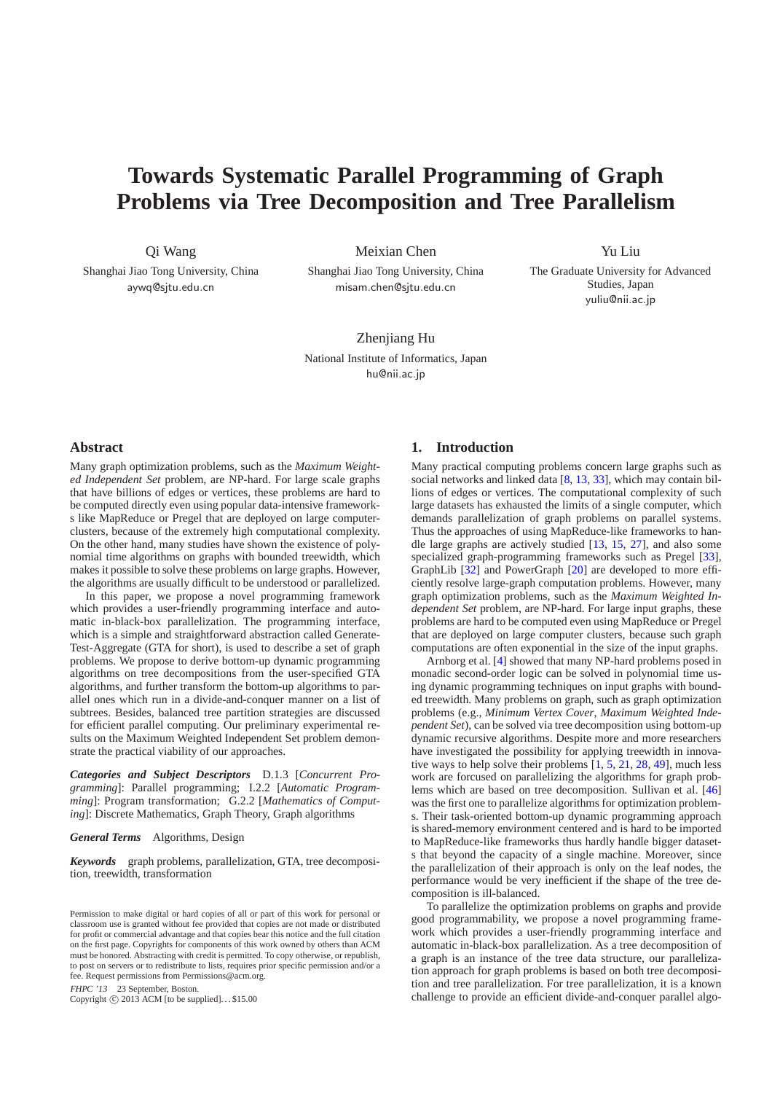# **Towards Systematic Parallel Programming of Graph Problems via Tree Decomposition and Tree Parallelism**

Qi Wang

Shanghai Jiao Tong University, China aywq@sjtu.edu.cn

Meixian Chen

Shanghai Jiao Tong University, China misam.chen@sjtu.edu.cn

Zhenjiang Hu

Yu Liu

The Graduate University for Advanced Studies, Japan yuliu@nii.ac.jp

National Institute of Informatics, Japan hu@nii.ac.jp

# **Abstract**

Many graph optimization problems, such as the *Maximum Weighted Independent Set* problem, are NP-hard. For large scale graphs that have billions of edges or vertices, these problems are hard to be computed directly even using popular data-intensive frameworks like MapReduce or Pregel that are deployed on large computerclusters, because of the extremely high computational complexity. On the other hand, many studies have shown the existence of polynomial time algorithms on graphs with bounded treewidth, which makes it possible to solve these problems on large graphs. However, the algorithms are usually difficult to be understood or parallelized.

In this paper, we propose a novel programming framework which provides a user-friendly programming interface and automatic in-black-box parallelization. The programming interface, which is a simple and straightforward abstraction called Generate-Test-Aggregate (GTA for short), is used to describe a set of graph problems. We propose to derive bottom-up dynamic programming algorithms on tree decompositions from the user-specified GTA algorithms, and further transform the bottom-up algorithms to parallel ones which run in a divide-and-conquer manner on a list of subtrees. Besides, balanced tree partition strategies are discussed for efficient parallel computing. Our preliminary experimental results on the Maximum Weighted Independent Set problem demonstrate the practical viability of our approaches.

*Categories and Subject Descriptors* D.1.3 [*Concurrent Programming*]: Parallel programming; I.2.2 [*Automatic Programming*]: Program transformation; G.2.2 [*Mathematics of Computing*]: Discrete Mathematics, Graph Theory, Graph algorithms

# *General Terms* Algorithms, Design

*Keywords* graph problems, parallelization, GTA, tree decomposition, treewidth, transformation

FHPC '13 23 September, Boston.

Copyright  $\odot$  2013 ACM [to be supplied]... \$15.00

# **1. Introduction**

Many practical computing problems concern large graphs such as social networks and linked data [\[8](#page-10-0), [13,](#page-10-1) [33\]](#page-11-0), which may contain billions of edges or vertices. The computational complexity of such large datasets has exhausted the limits of a single computer, which demands parallelization of graph problems on parallel systems. Thus the approaches of using MapReduce-like frameworks to handle large graphs are actively studied [\[13,](#page-10-1) [15](#page-10-2), [27\]](#page-11-1), and also some specialized graph-programming frameworks such as Pregel [\[33\]](#page-11-0), GraphLib [\[32](#page-11-2)] and PowerGraph [\[20\]](#page-10-3) are developed to more efficiently resolve large-graph computation problems. However, many graph optimization problems, such as the *Maximum Weighted Independent Set* problem, are NP-hard. For large input graphs, these problems are hard to be computed even using MapReduce or Pregel that are deployed on large computer clusters, because such graph computations are often exponential in the size of the input graphs.

Arnborg et al. [\[4\]](#page-10-4) showed that many NP-hard problems posed in monadic second-order logic can be solved in polynomial time using dynamic programming techniques on input graphs with bounded treewidth. Many problems on graph, such as graph optimization problems (e.g., *Minimum Vertex Cover*, *Maximum Weighted Independent Set*), can be solved via tree decomposition using bottom-up dynamic recursive algorithms. Despite more and more researchers have investigated the possibility for applying treewidth in innovative ways to help solve their problems [\[1](#page-10-5), [5](#page-10-6), [21,](#page-10-7) [28](#page-11-3), [49\]](#page-11-4), much less work are forcused on parallelizing the algorithms for graph problems which are based on tree decomposition. Sullivan et al. [\[46](#page-11-5)] was the first one to parallelize algorithms for optimization problems. Their task-oriented bottom-up dynamic programming approach is shared-memory environment centered and is hard to be imported to MapReduce-like frameworks thus hardly handle bigger datasets that beyond the capacity of a single machine. Moreover, since the parallelization of their approach is only on the leaf nodes, the performance would be very inefficient if the shape of the tree decomposition is ill-balanced.

To parallelize the optimization problems on graphs and provide good programmability, we propose a novel programming framework which provides a user-friendly programming interface and automatic in-black-box parallelization. As a tree decomposition of a graph is an instance of the tree data structure, our parallelization approach for graph problems is based on both tree decomposition and tree parallelization. For tree parallelization, it is a known challenge to provide an efficient divide-and-conquer parallel algo-

Permission to make digital or hard copies of all or part of this work for personal or classroom use is granted without fee provided that copies are not made or distributed for profit or commercial advantage and that copies bear this notice and the full citation on the first page. Copyrights for components of this work owned by others than ACM must be honored. Abstracting with credit is permitted. To copy otherwise, or republish, to post on servers or to redistribute to lists, requires prior specific permission and/or a fee. Request permissions from Permissions@acm.org.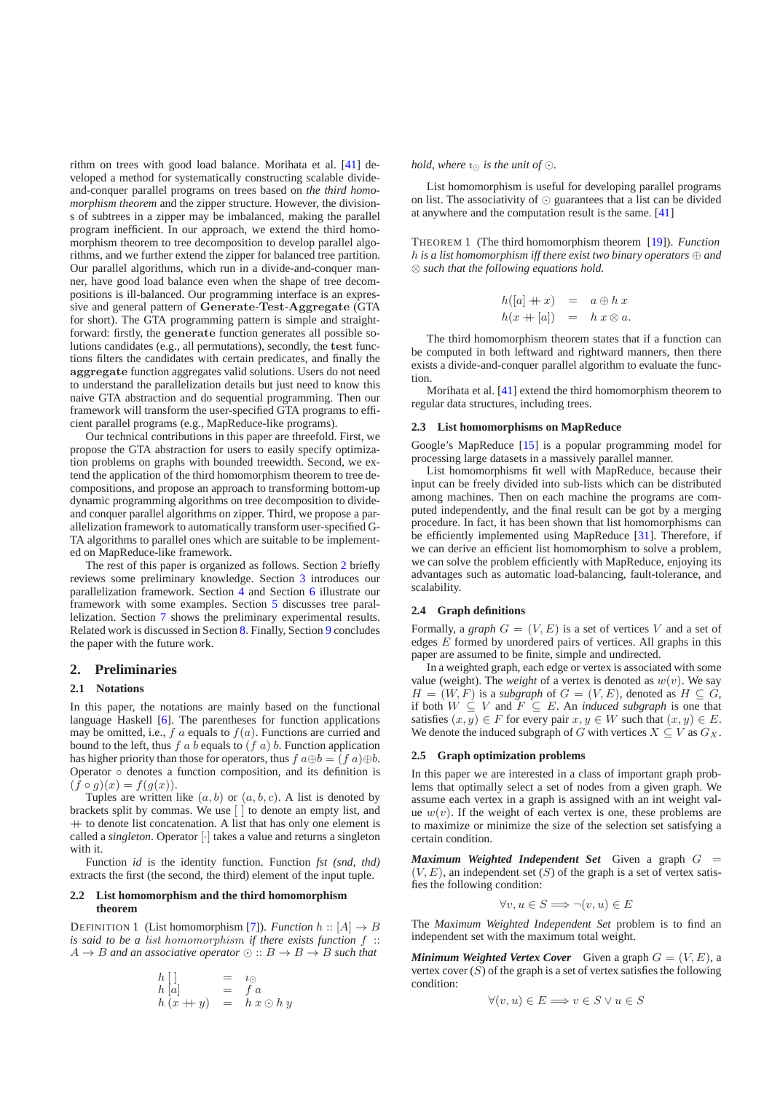rithm on trees with good load balance. Morihata et al. [\[41](#page-11-6)] developed a method for systematically constructing scalable divideand-conquer parallel programs on trees based on *the third homomorphism theorem* and the zipper structure. However, the divisions of subtrees in a zipper may be imbalanced, making the parallel program inefficient. In our approach, we extend the third homomorphism theorem to tree decomposition to develop parallel algorithms, and we further extend the zipper for balanced tree partition. Our parallel algorithms, which run in a divide-and-conquer manner, have good load balance even when the shape of tree decompositions is ill-balanced. Our programming interface is an expressive and general pattern of Generate-Test-Aggregate (GTA for short). The GTA programming pattern is simple and straightforward: firstly, the generate function generates all possible solutions candidates (e.g., all permutations), secondly, the test functions filters the candidates with certain predicates, and finally the aggregate function aggregates valid solutions. Users do not need to understand the parallelization details but just need to know this naive GTA abstraction and do sequential programming. Then our framework will transform the user-specified GTA programs to efficient parallel programs (e.g., MapReduce-like programs).

Our technical contributions in this paper are threefold. First, we propose the GTA abstraction for users to easily specify optimization problems on graphs with bounded treewidth. Second, we extend the application of the third homomorphism theorem to tree decompositions, and propose an approach to transforming bottom-up dynamic programming algorithms on tree decomposition to divideand conquer parallel algorithms on zipper. Third, we propose a parallelization framework to automatically transform user-specified G-TA algorithms to parallel ones which are suitable to be implemented on MapReduce-like framework.

The rest of this paper is organized as follows. Section [2](#page-1-0) briefly reviews some preliminary knowledge. Section [3](#page-3-0) introduces our parallelization framework. Section [4](#page-4-0) and Section [6](#page-7-0) illustrate our framework with some examples. Section [5](#page-6-0) discusses tree parallelization. Section [7](#page-8-0) shows the preliminary experimental results. Related work is discussed in Section [8.](#page-8-1) Finally, Section [9](#page-10-8) concludes the paper with the future work.

# <span id="page-1-0"></span>**2. Preliminaries**

# **2.1 Notations**

In this paper, the notations are mainly based on the functional language Haskell [\[6\]](#page-10-9). The parentheses for function applications may be omitted, i.e.,  $f \, a$  equals to  $f(a)$ . Functions are curried and bound to the left, thus  $f$  a  $b$  equals to  $(f \, a)$   $b$ . Function application has higher priority than those for operators, thus  $f \cdot a \oplus b = (f \cdot a) \oplus b$ . Operator ◦ denotes a function composition, and its definition is  $(f \circ g)(x) = f(g(x))$ .

Tuples are written like  $(a, b)$  or  $(a, b, c)$ . A list is denoted by brackets split by commas. We use [ ] to denote an empty list, and  $+$  to denote list concatenation. A list that has only one element is called a *singleton*. Operator [·] takes a value and returns a singleton with it.

Function *id* is the identity function. Function *fst (snd, thd)* extracts the first (the second, the third) element of the input tuple.

### **2.2 List homomorphism and the third homomorphism theorem**

<span id="page-1-1"></span>DEFINITION 1 (List homomorphism [\[7](#page-10-10)]). *Function*  $h$  ::  $[A] \rightarrow B$ *is said to be a* list homomorphism *if there exists function* f ::  $A \rightarrow B$  *and an associative operator*  $\odot$  ::  $B \rightarrow B \rightarrow B$  *such that* 

$$
\begin{array}{rcl}\nh\begin{bmatrix}\n1 \\
h\end{bmatrix} & = & i_{\odot} \\
h\begin{bmatrix}\na \\
h\end{bmatrix} & = & f\ a \\
h\begin{bmatrix}\nx + y\n\end{bmatrix} & = & h\ x \odot h\ y\n\end{array}
$$

*hold, where*  $\iota_{\odot}$  *is the unit of*  $\odot$ *.* 

List homomorphism is useful for developing parallel programs on list. The associativity of ⊙ guarantees that a list can be divided at anywhere and the computation result is the same. [\[41](#page-11-6)]

THEOREM 1 (The third homomorphism theorem [\[19\]](#page-10-11)). *Function* h *is a list homomorphism iff there exist two binary operators* ⊕ *and* ⊗ *such that the following equations hold.*

$$
h([a] + x) = a \oplus h x
$$
  

$$
h(x + [a]) = h x \otimes a.
$$

The third homomorphism theorem states that if a function can be computed in both leftward and rightward manners, then there exists a divide-and-conquer parallel algorithm to evaluate the function.

Morihata et al. [\[41](#page-11-6)] extend the third homomorphism theorem to regular data structures, including trees.

#### **2.3 List homomorphisms on MapReduce**

Google's MapReduce [\[15](#page-10-2)] is a popular programming model for processing large datasets in a massively parallel manner.

List homomorphisms fit well with MapReduce, because their input can be freely divided into sub-lists which can be distributed among machines. Then on each machine the programs are computed independently, and the final result can be got by a merging procedure. In fact, it has been shown that list homomorphisms can be efficiently implemented using MapReduce [\[31\]](#page-11-7). Therefore, if we can derive an efficient list homomorphism to solve a problem, we can solve the problem efficiently with MapReduce, enjoying its advantages such as automatic load-balancing, fault-tolerance, and scalability.

### **2.4 Graph definitions**

Formally, a *graph*  $G = (V, E)$  is a set of vertices V and a set of edges  $E$  formed by unordered pairs of vertices. All graphs in this paper are assumed to be finite, simple and undirected.

In a weighted graph, each edge or vertex is associated with some value (weight). The *weight* of a vertex is denoted as  $w(v)$ . We say  $H = (W, F)$  is a *subgraph* of  $G = (V, E)$ , denoted as  $H \subseteq G$ , if both  $W \subseteq V$  and  $F \subseteq E$ . An *induced subgraph* is one that satisfies  $(x, y) \in F$  for every pair  $x, y \in W$  such that  $(x, y) \in E$ . We denote the induced subgraph of G with vertices  $X \subseteq V$  as  $G_X$ .

### **2.5 Graph optimization problems**

In this paper we are interested in a class of important graph problems that optimally select a set of nodes from a given graph. We assume each vertex in a graph is assigned with an int weight value  $w(v)$ . If the weight of each vertex is one, these problems are to maximize or minimize the size of the selection set satisfying a certain condition.

 $$  $(V, E)$ , an independent set  $(S)$  of the graph is a set of vertex satisfies the following condition:

$$
\forall v, u \in S \Longrightarrow \neg(v, u) \in E
$$

The *Maximum Weighted Independent Set* problem is to find an independent set with the maximum total weight.

*Minimum Weighted Vertex Cover* Given a graph  $G = (V, E)$ , a vertex cover  $(S)$  of the graph is a set of vertex satisfies the following condition:

$$
\forall (v, u) \in E \Longrightarrow v \in S \lor u \in S
$$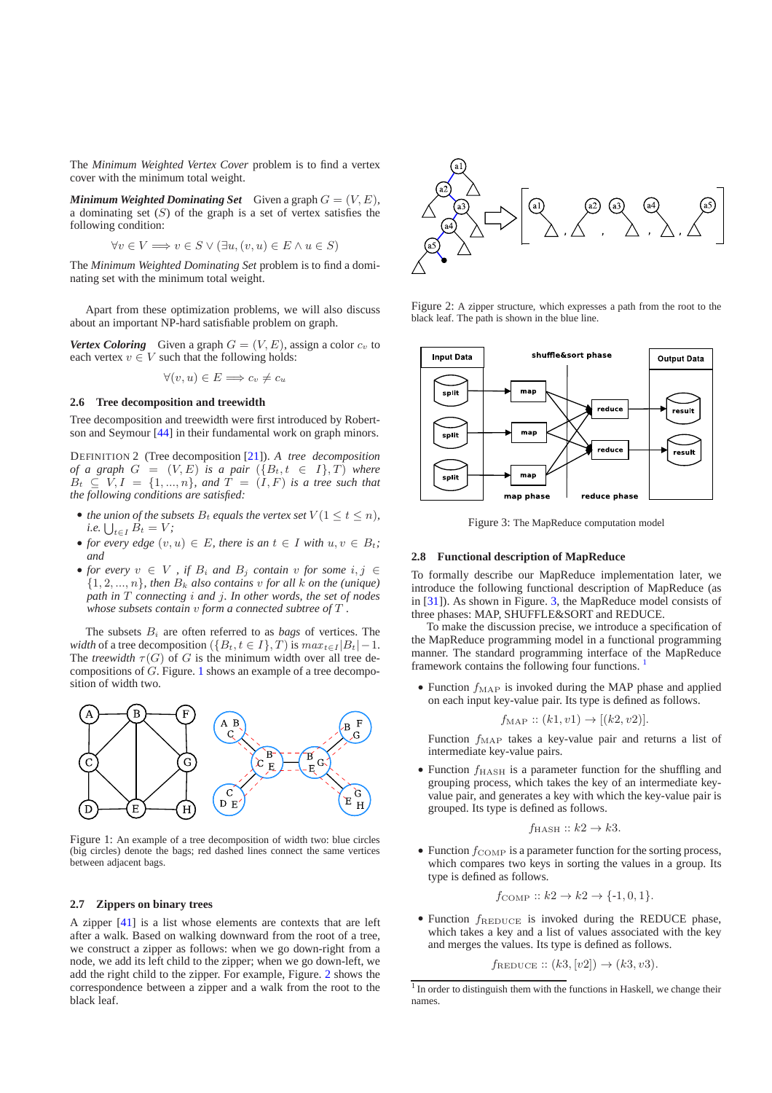The *Minimum Weighted Vertex Cover* problem is to find a vertex cover with the minimum total weight.

*Minimum Weighted Dominating Set* Given a graph  $G = (V, E)$ , a dominating set  $(S)$  of the graph is a set of vertex satisfies the following condition:

$$
\forall v \in V \Longrightarrow v \in S \lor (\exists u, (v, u) \in E \land u \in S)
$$

The *Minimum Weighted Dominating Set* problem is to find a dominating set with the minimum total weight.

Apart from these optimization problems, we will also discuss about an important NP-hard satisfiable problem on graph.

*Vertex Coloring* Given a graph  $G = (V, E)$ , assign a color  $c_v$  to each vertex  $v \in V$  such that the following holds:

$$
\forall (v, u) \in E \Longrightarrow c_v \neq c_u
$$

# **2.6 Tree decomposition and treewidth**

Tree decomposition and treewidth were first introduced by Robertson and Seymour [\[44](#page-11-8)] in their fundamental work on graph minors.

DEFINITION 2 (Tree decomposition [\[21\]](#page-10-7)). *A tree decomposition of a graph*  $G = (V, E)$  *is a pair*  $({B_t, t \in I}, T)$  *where*  $B_t \subseteq V, I = \{1, ..., n\}$ , and  $T = (I, F)$  is a tree such that *the following conditions are satisfied:*

- *the union of the subsets*  $B_t$  *equals the vertex set*  $V(1 \leq t \leq n)$ *, i.e.*  $\bigcup_{t \in I} B_t = V$ *;*
- *for every edge*  $(v, u) \in E$ *, there is an*  $t \in I$  *with*  $u, v \in B_t$ *; and*
- *for every*  $v \in V$ , if  $B_i$  and  $B_j$  *contain*  $v$  *for some*  $i, j \in$  $\{1, 2, ..., n\}$ , then  $B_k$  also contains v for all  $\tilde{k}$  on the (unique) *path in* T *connecting* i *and* j*. In other words, the set of nodes whose subsets contain* v *form a connected subtree of* T *.*

The subsets  $B_i$  are often referred to as *bags* of vertices. The *width* of a tree decomposition  $({B_t, t \in I}, T)$  is  $max_{t \in I} |B_t| - 1$ . The *treewidth*  $\tau(G)$  of G is the minimum width over all tree decompositions of  $G$ . Figure. [1](#page-2-0) shows an example of a tree decomposition of width two.



<span id="page-2-0"></span>Figure 1: An example of a tree decomposition of width two: blue circles (big circles) denote the bags; red dashed lines connect the same vertices between adjacent bags.

### **2.7 Zippers on binary trees**

A zipper [\[41\]](#page-11-6) is a list whose elements are contexts that are left after a walk. Based on walking downward from the root of a tree, we construct a zipper as follows: when we go down-right from a node, we add its left child to the zipper; when we go down-left, we add the right child to the zipper. For example, Figure. [2](#page-2-1) shows the correspondence between a zipper and a walk from the root to the black leaf.



<span id="page-2-1"></span>Figure 2: A zipper structure, which expresses a path from the root to the black leaf. The path is shown in the blue line.



<span id="page-2-2"></span>Figure 3: The MapReduce computation model

### **2.8 Functional description of MapReduce**

To formally describe our MapReduce implementation later, we introduce the following functional description of MapReduce (as in [\[31](#page-11-7)]). As shown in Figure. [3,](#page-2-2) the MapReduce model consists of three phases: MAP, SHUFFLE&SORT and REDUCE.

To make the discussion precise, we introduce a specification of the MapReduce programming model in a functional programming manner. The standard programming interface of the MapReduce framework contains the following four functions. <sup>1</sup>

 $\bullet$  Function  $f_{\text{MAP}}$  is invoked during the MAP phase and applied on each input key-value pair. Its type is defined as follows.

$$
f_{\text{MAP}}
$$
 ::  $(k1, v1) \rightarrow [(k2, v2)].$ 

Function  $f_{\text{MAP}}$  takes a key-value pair and returns a list of intermediate key-value pairs.

• Function  $f_{\rm HASH}$  is a parameter function for the shuffling and grouping process, which takes the key of an intermediate keyvalue pair, and generates a key with which the key-value pair is grouped. Its type is defined as follows.

$$
f_{\text{HASH}} :: k2 \to k3.
$$

• Function  $f_{\text{COMP}}$  is a parameter function for the sorting process, which compares two keys in sorting the values in a group. Its type is defined as follows.

$$
f_{\text{COMP}} :: k2 \to k2 \to \{-1, 0, 1\}.
$$

• Function  $f_{\text{REDUCE}}$  is invoked during the REDUCE phase, which takes a key and a list of values associated with the key and merges the values. Its type is defined as follows.

$$
f_{\text{REDUCE}} :: (k3, [v2]) \rightarrow (k3, v3).
$$

<sup>&</sup>lt;sup>1</sup> In order to distinguish them with the functions in Haskell, we change their names.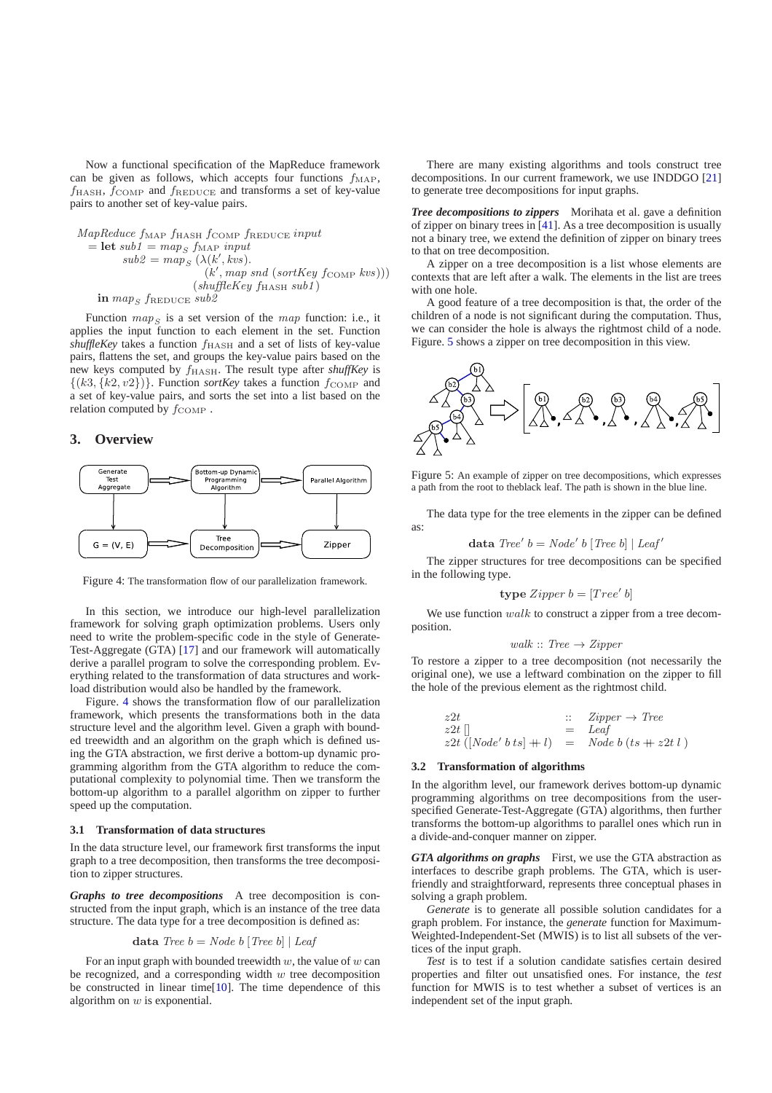Now a functional specification of the MapReduce framework can be given as follows, which accepts four functions  $f_{\text{MAP}}$ ,  $f_{\rm HASH}$ ,  $f_{\rm COMP}$  and  $f_{\rm REDUCE}$  and transforms a set of key-value pairs to another set of key-value pairs.

MapReduce 
$$
f_{\text{MAP}}
$$
 f\_{\text{HASH}} f\_{\text{COMP}} f\_{\text{REDUCE}} input  
\n= let  $sub1 = map_S f_{\text{MAP}}$  input  
\n $sub2 = map_S (\lambda(k', kvs).$   
\n( $k', map$  *snd* (sortKey  $f_{\text{COMP}} kvs)$ ))  
\n( $shuffleKey f_{\text{HASH}} sub1$ )  
\nin  $map_S f_{\text{REDUCE}} sub2$ 

Function  $map_S$  is a set version of the *map* function: i.e., it applies the input function to each element in the set. Function  $shuffleKey$  takes a function  $f_{\rm HASH}$  and a set of lists of key-value pairs, flattens the set, and groups the key-value pairs based on the new keys computed by  $f_{\rm HASH}$ . The result type after *shuffKey* is  $\{(k3, (k2, v2))\}$ . Function *sortKey* takes a function  $f_{\text{COMP}}$  and a set of key-value pairs, and sorts the set into a list based on the relation computed by  $f_{\text{COMP}}$ .

### <span id="page-3-0"></span>**3. Overview**



<span id="page-3-1"></span>Figure 4: The transformation flow of our parallelization framework.

In this section, we introduce our high-level parallelization framework for solving graph optimization problems. Users only need to write the problem-specific code in the style of Generate-Test-Aggregate (GTA) [\[17\]](#page-10-12) and our framework will automatically derive a parallel program to solve the corresponding problem. Everything related to the transformation of data structures and workload distribution would also be handled by the framework.

Figure. [4](#page-3-1) shows the transformation flow of our parallelization framework, which presents the transformations both in the data structure level and the algorithm level. Given a graph with bounded treewidth and an algorithm on the graph which is defined using the GTA abstraction, we first derive a bottom-up dynamic programming algorithm from the GTA algorithm to reduce the computational complexity to polynomial time. Then we transform the bottom-up algorithm to a parallel algorithm on zipper to further speed up the computation.

# **3.1 Transformation of data structures**

In the data structure level, our framework first transforms the input graph to a tree decomposition, then transforms the tree decomposition to zipper structures.

*Graphs to tree decompositions* A tree decomposition is constructed from the input graph, which is an instance of the tree data structure. The data type for a tree decomposition is defined as:

$$
data \text{ Tree } b = \text{Node } b \text{ [Tree } b \text{] } \text{Leaf}
$$

For an input graph with bounded treewidth  $w$ , the value of  $w$  can be recognized, and a corresponding width  $w$  tree decomposition be constructed in linear time<sup>[\[10](#page-10-13)]</sup>. The time dependence of this algorithm on  $w$  is exponential.

There are many existing algorithms and tools construct tree decompositions. In our current framework, we use INDDGO [\[21](#page-10-7)] to generate tree decompositions for input graphs.

*Tree decompositions to zippers* Morihata et al. gave a definition of zipper on binary trees in [\[41\]](#page-11-6). As a tree decomposition is usually not a binary tree, we extend the definition of zipper on binary trees to that on tree decomposition.

A zipper on a tree decomposition is a list whose elements are contexts that are left after a walk. The elements in the list are trees with one hole.

A good feature of a tree decomposition is that, the order of the children of a node is not significant during the computation. Thus, we can consider the hole is always the rightmost child of a node. Figure. [5](#page-3-2) shows a zipper on tree decomposition in this view.



<span id="page-3-2"></span>Figure 5: An example of zipper on tree decompositions, which expresses a path from the root to theblack leaf. The path is shown in the blue line.

The data type for the tree elements in the zipper can be defined as:

**data** *Tree'* 
$$
b = Node'
$$
 *b*  $[Tree\ b] | Leaf'$ 

The zipper structures for tree decompositions can be specified in the following type.

$$
type\, Zipper\, b = [Tree'\, b]
$$

We use function  $walk$  to construct a zipper from a tree decomposition.

walk :: Tree 
$$
\rightarrow
$$
 Zipper

To restore a zipper to a tree decomposition (not necessarily the original one), we use a leftward combination on the zipper to fill the hole of the previous element as the rightmost child.

$$
z2t = 22t
$$
  
\n
$$
z2t \parallel 22t \parallel 22t \parallel 22t \quad ([Node' bts] + l) = [Node b (ts + z2t l)]
$$

### **3.2 Transformation of algorithms**

In the algorithm level, our framework derives bottom-up dynamic programming algorithms on tree decompositions from the userspecified Generate-Test-Aggregate (GTA) algorithms, then further transforms the bottom-up algorithms to parallel ones which run in a divide-and-conquer manner on zipper.

*GTA algorithms on graphs* First, we use the GTA abstraction as interfaces to describe graph problems. The GTA, which is userfriendly and straightforward, represents three conceptual phases in solving a graph problem.

*Generate* is to generate all possible solution candidates for a graph problem. For instance, the *generate* function for Maximum-Weighted-Independent-Set (MWIS) is to list all subsets of the vertices of the input graph.

*Test* is to test if a solution candidate satisfies certain desired properties and filter out unsatisfied ones. For instance, the *test* function for MWIS is to test whether a subset of vertices is an independent set of the input graph.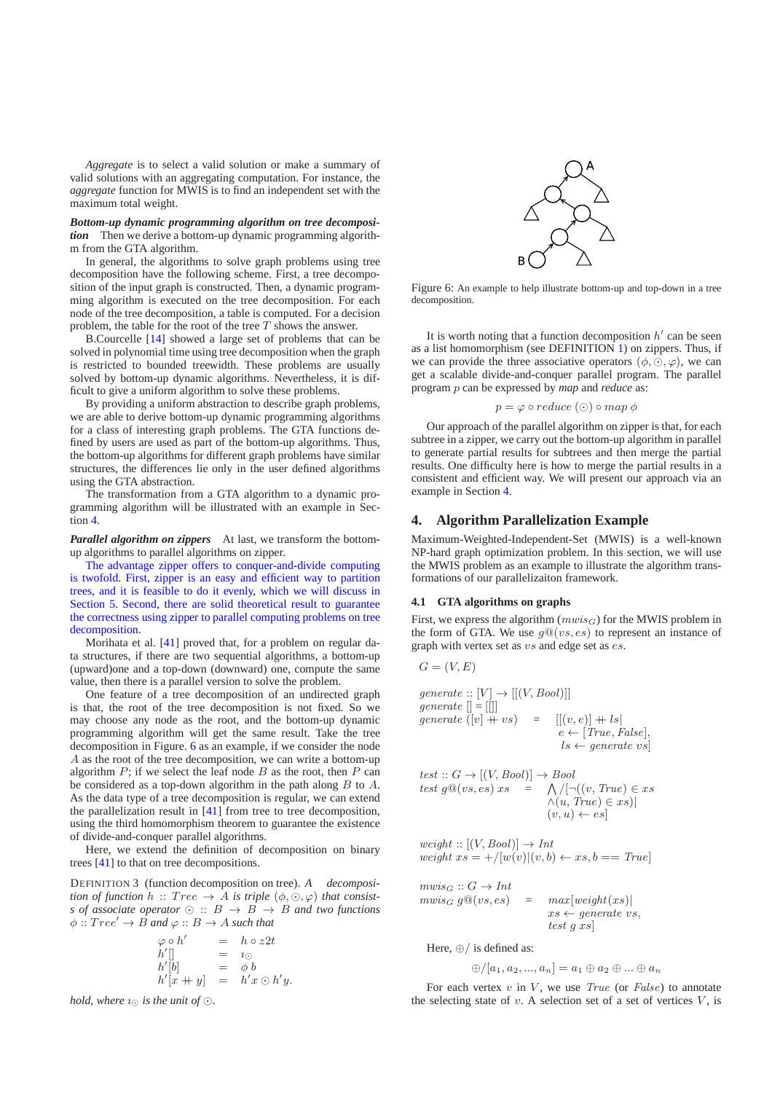*Aggregate* is to select a valid solution or make a summary of valid solutions with an aggregating computation. For instance, the *aggregate* function for MWIS is to find an independent set with the maximum total weight.

*Bottom-up dynamic programming algorithm on tree decomposition* Then we derive a bottom-up dynamic programming algorithm from the GTA algorithm.

In general, the algorithms to solve graph problems using tree decomposition have the following scheme. First, a tree decomposition of the input graph is constructed. Then, a dynamic programming algorithm is executed on the tree decomposition. For each node of the tree decomposition, a table is computed. For a decision problem, the table for the root of the tree  $T$  shows the answer.

B.Courcelle [\[14](#page-10-14)] showed a large set of problems that can be solved in polynomial time using tree decomposition when the graph is restricted to bounded treewidth. These problems are usually solved by bottom-up dynamic algorithms. Nevertheless, it is difficult to give a uniform algorithm to solve these problems.

By providing a uniform abstraction to describe graph problems, we are able to derive bottom-up dynamic programming algorithms for a class of interesting graph problems. The GTA functions defined by users are used as part of the bottom-up algorithms. Thus, the bottom-up algorithms for different graph problems have similar structures, the differences lie only in the user defined algorithms using the GTA abstraction.

The transformation from a GTA algorithm to a dynamic programming algorithm will be illustrated with an example in Section [4.](#page-4-0)

*Parallel algorithm on zippers* At last, we transform the bottomup algorithms to parallel algorithms on zipper.

The advantage zipper offers to conquer-and-divide computing is twofold. First, zipper is an easy and efficient way to partition trees, and it is feasible to do it evenly, which we will discuss in Section [5.](#page-6-0) Second, there are solid theoretical result to guarantee the correctness using zipper to parallel computing problems on tree decomposition.

Morihata et al. [\[41](#page-11-6)] proved that, for a problem on regular data structures, if there are two sequential algorithms, a bottom-up (upward)one and a top-down (downward) one, compute the same value, then there is a parallel version to solve the problem.

One feature of a tree decomposition of an undirected graph is that, the root of the tree decomposition is not fixed. So we may choose any node as the root, and the bottom-up dynamic programming algorithm will get the same result. Take the tree decomposition in Figure. [6](#page-4-1) as an example, if we consider the node A as the root of the tree decomposition, we can write a bottom-up algorithm  $P$ ; if we select the leaf node  $B$  as the root, then  $P$  can be considered as a top-down algorithm in the path along  $B$  to  $A$ . As the data type of a tree decomposition is regular, we can extend the parallelization result in [\[41\]](#page-11-6) from tree to tree decomposition, using the third homomorphism theorem to guarantee the existence of divide-and-conquer parallel algorithms.

<span id="page-4-2"></span>Here, we extend the definition of decomposition on binary trees [\[41](#page-11-6)] to that on tree decompositions.

DEFINITION 3 (function decomposition on tree). *A decomposition of function*  $h$  ::  $Tree \rightarrow A$  *is triple*  $(\phi, \odot, \varphi)$  *that consists of associate operator* ⊙ :: B → B → B *and two functions*  $\phi$  ::  $Tree' \rightarrow B$  and  $\varphi$  ::  $B \rightarrow A$  such that

$$
\varphi \circ h' = h \circ z2t
$$
  
\n
$$
\begin{array}{rcl}\nh' \parallel &=& i_{\odot} \\
h' \parallel &=& i_{\odot} \\
h' \vert x + y \vert &=& h'x \odot h'y.\n\end{array}
$$

*hold, where*  $\iota_{\odot}$  *is the unit of*  $\odot$ *.* 



<span id="page-4-1"></span>Figure 6: An example to help illustrate bottom-up and top-down in a tree decomposition.

It is worth noting that a function decomposition  $h'$  can be seen as a list homomorphism (see DEFINITION [1\)](#page-1-1) on zippers. Thus, if we can provide the three associative operators  $(\phi, \odot, \varphi)$ , we can get a scalable divide-and-conquer parallel program. The parallel program p can be expressed by *map* and *reduce* as:

$$
p = \varphi \circ reduce(\odot) \circ map \ \phi
$$

Our approach of the parallel algorithm on zipper is that, for each subtree in a zipper, we carry out the bottom-up algorithm in parallel to generate partial results for subtrees and then merge the partial results. One difficulty here is how to merge the partial results in a consistent and efficient way. We will present our approach via an example in Section [4.](#page-4-0)

# <span id="page-4-0"></span>**4. Algorithm Parallelization Example**

Maximum-Weighted-Independent-Set (MWIS) is a well-known NP-hard graph optimization problem. In this section, we will use the MWIS problem as an example to illustrate the algorithm transformations of our parallelizaiton framework.

### **4.1 GTA algorithms on graphs**

First, we express the algorithm  $(mwis<sub>G</sub>)$  for the MWIS problem in the form of GTA. We use  $g@(*vs*, *es*)$  to represent an instance of graph with vertex set as  $vs$  and edge set as  $es$ .

$$
G = (V, E)
$$

$$
generate :: [V] \rightarrow [[(V, Bool)]]
$$
\n
$$
generate [[= [[]]
$$
\n
$$
generate ([v] + vs) = [[(v, e)] + ls |\n
$$
e \leftarrow [True, False],\nls \leftarrow generate vs
$$
$$

test  $: G \rightarrow [(V, Bool)] \rightarrow Bool$ test  $g@(vs, es) xs =$  $\bigwedge / [\neg((v, True) \in xs$  $\land (u, True) \in xs$  $(v, u) \leftarrow es$ 

weight  $:: [(V, Bool)] \rightarrow Int$ weight  $xs = +/[w(v)|(v, b) \leftarrow xs, b == True]$ 

 $mwis_G\,::\, G\,\rightarrow\,Int$  $mwis_G g@(vs, es) = max[weight(xs)]$  $xs \leftarrow generate vs,$ test  $a$  xs

Here, ⊕/ is defined as:

$$
\bigoplus \bigl( [a_1, a_2, ..., a_n] = a_1 \oplus a_2 \oplus ... \oplus a_n
$$

For each vertex  $v$  in  $V$ , we use *True* (or *False*) to annotate the selecting state of  $v$ . A selection set of a set of vertices  $V$ , is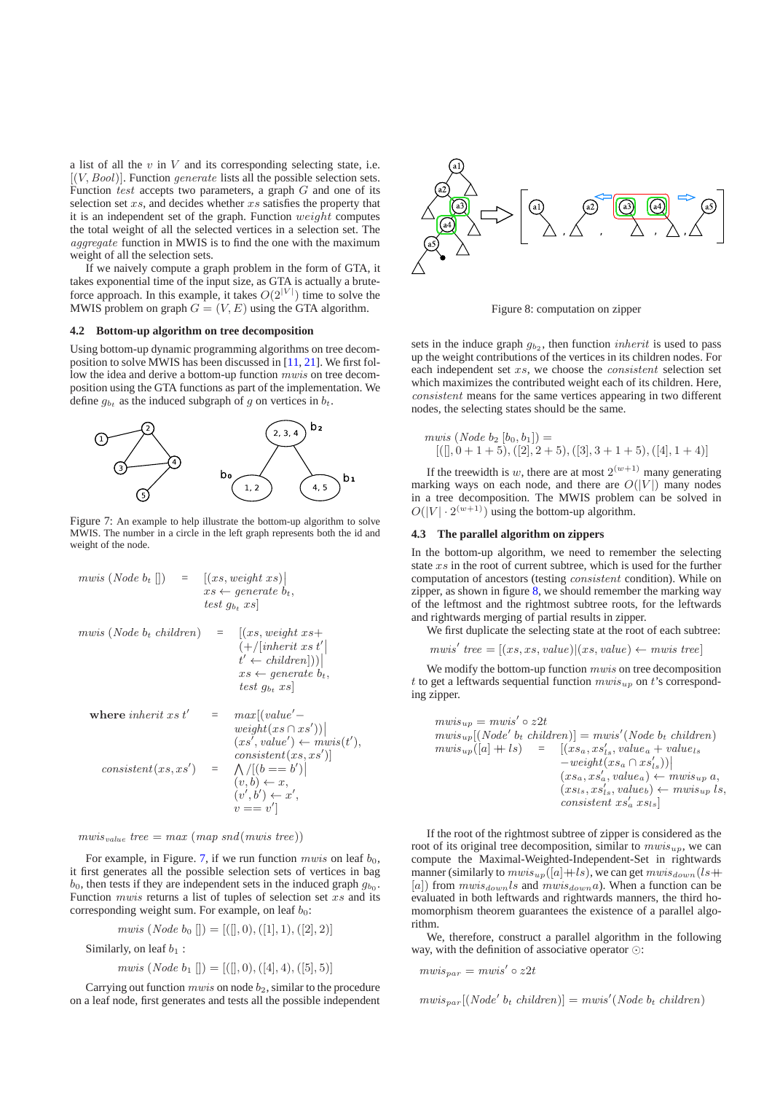a list of all the  $v$  in  $V$  and its corresponding selecting state, i.e.  $[(V,Bool)]$ . Function *generate* lists all the possible selection sets. Function test accepts two parameters, a graph  $G$  and one of its selection set  $xs$ , and decides whether  $xs$  satisfies the property that it is an independent set of the graph. Function weight computes the total weight of all the selected vertices in a selection set. The aggregate function in MWIS is to find the one with the maximum weight of all the selection sets.

If we naively compute a graph problem in the form of GTA, it takes exponential time of the input size, as GTA is actually a bruteforce approach. In this example, it takes  $O(2^{|V|})$  time to solve the MWIS problem on graph  $G = (V, E)$  using the GTA algorithm.

### **4.2 Bottom-up algorithm on tree decomposition**

Using bottom-up dynamic programming algorithms on tree decomposition to solve MWIS has been discussed in [\[11](#page-10-15), [21](#page-10-7)]. We first follow the idea and derive a bottom-up function *mwis* on tree decomposition using the GTA functions as part of the implementation. We define  $g_{b_t}$  as the induced subgraph of g on vertices in  $b_t$ .



<span id="page-5-0"></span>Figure 7: An example to help illustrate the bottom-up algorithm to solve MWIS. The number in a circle in the left graph represents both the id and weight of the node.

$$
mwis (Node b_t []) = [(xs, weight xs)]\nxs \leftarrow generate b_t,\ntest g_{b_t} xs]
$$
  
\n
$$
mwis (Node b_t children) = [(xs, weight xs +
$$
  
\n
$$
(+/[\text{inherit} xs t']\nt' \leftarrow children]))]
$$
  
\n
$$
xs \leftarrow generate b_t,\ntest g_{b_t} xs]
$$
  
\nwhere inherit xs t' = 
$$
max[(value' -
$$
  
\n
$$
weight(xs \cap xs'))|\n(xs', value') \leftarrow music(t'),\nconsistent(xs, xs') = \bigwedge ([(b == b')]\n(v, b) \leftarrow x,\n(v', b') \leftarrow x',\n v == v']
$$

 $mwis_{value}$  tree = max (map snd(mwis tree))

For example, in Figure. [7,](#page-5-0) if we run function  $mwis$  on leaf  $b<sub>0</sub>$ , it first generates all the possible selection sets of vertices in bag  $b_0$ , then tests if they are independent sets in the induced graph  $g_{b_0}$ . Function *mwis* returns a list of tuples of selection set  $xs$  and its corresponding weight sum. For example, on leaf  $b_0$ :

*mus* (*Node* 
$$
b_0
$$
 [] $) = [([], 0), ([1], 1), ([2], 2)]$ 

Similarly, on leaf  $b_1$  :

*mus* (*Node* 
$$
b_1
$$
 [] $) = [([], 0), ([4], 4), ([5], 5)]$ 

Carrying out function *mwis* on node  $b_2$ , similar to the procedure on a leaf node, first generates and tests all the possible independent



<span id="page-5-1"></span>Figure 8: computation on zipper

sets in the induce graph  $g_{b_2}$ , then function *inherit* is used to pass up the weight contributions of the vertices in its children nodes. For each independent set  $xs$ , we choose the *consistent* selection set which maximizes the contributed weight each of its children. Here, consistent means for the same vertices appearing in two different nodes, the selecting states should be the same.

$$
\begin{array}{c}\n\text{musi (Node } b_2 \ [b_0, b_1]) = \\
\left[ \left( \begin{bmatrix} 0, 0+1+5 \end{bmatrix}, \left( \begin{bmatrix} 2 \end{bmatrix}, 2+5 \right), \left( \begin{bmatrix} 3 \end{bmatrix}, 3+1+5 \right), \left( \begin{bmatrix} 4 \end{bmatrix}, 1+4 \right) \right] \right]\n\end{array}
$$

If the treewidth is w, there are at most  $2^{(w+1)}$  many generating marking ways on each node, and there are  $O(|V|)$  many nodes in a tree decomposition. The MWIS problem can be solved in  $O(|V| \cdot 2^{(w+1)})$  using the bottom-up algorithm.

### **4.3 The parallel algorithm on zippers**

In the bottom-up algorithm, we need to remember the selecting state xs in the root of current subtree, which is used for the further computation of ancestors (testing consistent condition). While on zipper, as shown in figure [8,](#page-5-1) we should remember the marking way of the leftmost and the rightmost subtree roots, for the leftwards and rightwards merging of partial results in zipper.

We first duplicate the selecting state at the root of each subtree:

$$
mwis' \ tree = [(xs, xs, value)](xs, value) \leftarrow mwis \ tree]
$$

We modify the bottom-up function *mwis* on tree decomposition t to get a leftwards sequential function  $mwis_{up}$  on t's corresponding zipper.

 $mwis_{up} = mwis' \circ z2t$  $mwis_{up}[(Node' b_t \text{ children})] = mwis'(Node b_t \text{ children})$  $mwis_{up}([a] + l s) = [(xs_a, xs'_a, value_a + value_{ls}]$  $-weight(xs_a \cap xs'_{ls}))$  $\left(\text{xs}_a, \text{xs}_a^{\prime}, \text{value}_a\right) \leftarrow \text{mwis}_{up} a,$  $(xs_{ls}, xs'_{ls}, value_b) \leftarrow mwis_{up}$  ls,  $consistent xs'_{a} xs_{ls}]$ 

If the root of the rightmost subtree of zipper is considered as the root of its original tree decomposition, similar to  $mwis_{up}$ , we can compute the Maximal-Weighted-Independent-Set in rightwards manner (similarly to  $mwis_{up}([a]+ls)$ , we can get  $mwis_{down}(ls+$ [a]) from  $mwis_{down}$ ls and  $mwis_{down}$ . When a function can be evaluated in both leftwards and rightwards manners, the third homomorphism theorem guarantees the existence of a parallel algorithm.

We, therefore, construct a parallel algorithm in the following way, with the definition of associative operator ⊙:

$$
mwis_{par} = mwis' \circ z2t
$$

$$
mwis_{par}[(Node' b_t \; children)] = mwis'(Node b_t \; children)
$$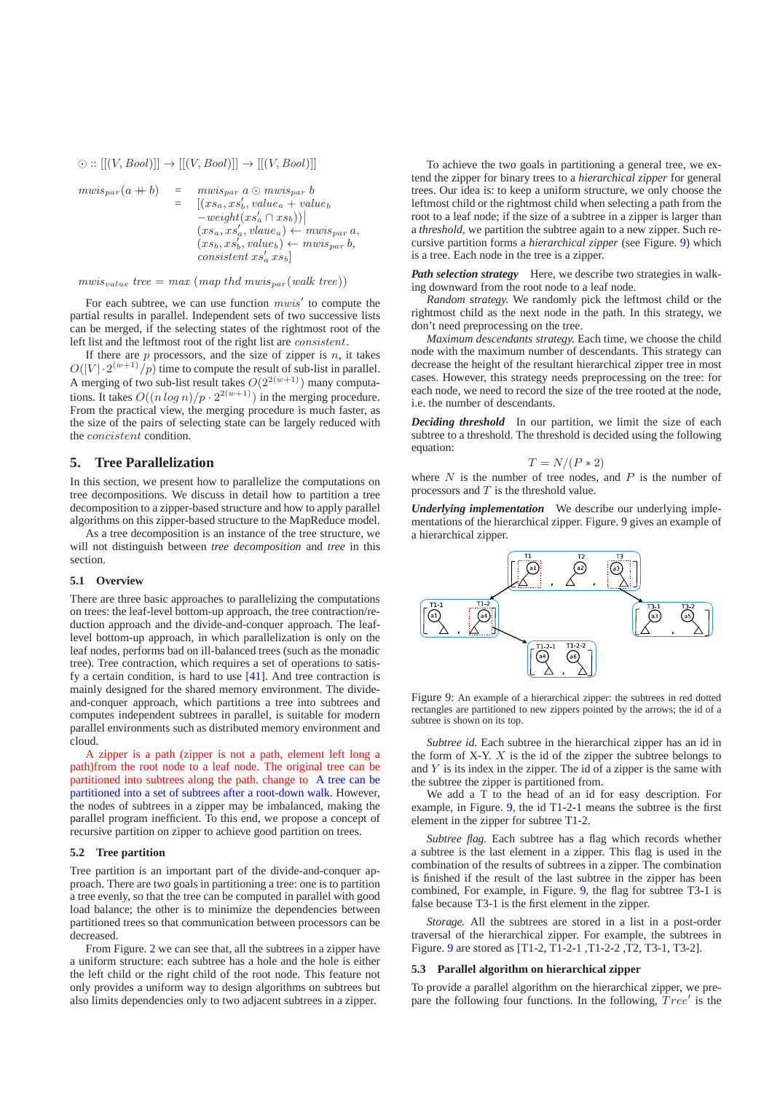$\odot$  ::  $[[(V,Bool)]] \rightarrow [[(V,Bool)]] \rightarrow [[(V,Bool)]]$ 

$$
mwis_{par}(a + b) = mwis_{par} a \odot mwis_{par} b
$$
  
= 
$$
[(xs_a, xs'_b, value_a + value_b - weight(xs'_a \cap xs_b))|
$$
  

$$
-(xs_a, xs'_a, value_a) \leftarrow mwis_{par} a,
$$
  

$$
(xs_b, xs'_b, value_b) \leftarrow mwis_{par} b,
$$
  
consistent xs'\_a xs\_b]

 $mwis_{value}$  tree = max (map thd mwis<sub>par</sub>(walk tree))

For each subtree, we can use function  $mwis'$  to compute the partial results in parallel. Independent sets of two successive lists can be merged, if the selecting states of the rightmost root of the left list and the leftmost root of the right list are consistent.

If there are  $p$  processors, and the size of zipper is  $n$ , it takes  $O(|V| \cdot 2^{(w+1)}/p)$  time to compute the result of sub-list in parallel. A merging of two sub-list result takes  $O(2^{2(w+1)})$  many computations. It takes  $O((n \log n)/p \cdot 2^{2(w+1)})$  in the merging procedure. From the practical view, the merging procedure is much faster, as the size of the pairs of selecting state can be largely reduced with the concistent condition.

# <span id="page-6-0"></span>**5. Tree Parallelization**

In this section, we present how to parallelize the computations on tree decompositions. We discuss in detail how to partition a tree decomposition to a zipper-based structure and how to apply parallel algorithms on this zipper-based structure to the MapReduce model.

As a tree decomposition is an instance of the tree structure, we will not distinguish between *tree decomposition* and *tree* in this section.

### **5.1 Overview**

There are three basic approaches to parallelizing the computations on trees: the leaf-level bottom-up approach, the tree contraction/reduction approach and the divide-and-conquer approach. The leaflevel bottom-up approach, in which parallelization is only on the leaf nodes, performs bad on ill-balanced trees (such as the monadic tree). Tree contraction, which requires a set of operations to satisfy a certain condition, is hard to use [\[41](#page-11-6)]. And tree contraction is mainly designed for the shared memory environment. The divideand-conquer approach, which partitions a tree into subtrees and computes independent subtrees in parallel, is suitable for modern parallel environments such as distributed memory environment and cloud.

A zipper is a path (zipper is not a path, element left long a path)from the root node to a leaf node. The original tree can be partitioned into subtrees along the path. change to A tree can be partitioned into a set of subtrees after a root-down walk. However, the nodes of subtrees in a zipper may be imbalanced, making the parallel program inefficient. To this end, we propose a concept of recursive partition on zipper to achieve good partition on trees.

### **5.2 Tree partition**

Tree partition is an important part of the divide-and-conquer approach. There are two goals in partitioning a tree: one is to partition a tree evenly, so that the tree can be computed in parallel with good load balance; the other is to minimize the dependencies between partitioned trees so that communication between processors can be decreased.

From Figure. [2](#page-2-1) we can see that, all the subtrees in a zipper have a uniform structure: each subtree has a hole and the hole is either the left child or the right child of the root node. This feature not only provides a uniform way to design algorithms on subtrees but also limits dependencies only to two adjacent subtrees in a zipper.

To achieve the two goals in partitioning a general tree, we extend the zipper for binary trees to a *hierarchical zipper* for general trees. Our idea is: to keep a uniform structure, we only choose the leftmost child or the rightmost child when selecting a path from the root to a leaf node; if the size of a subtree in a zipper is larger than a *threshold*, we partition the subtree again to a new zipper. Such recursive partition forms a *hierarchical zipper* (see Figure. [9\)](#page-6-1) which is a tree. Each node in the tree is a zipper.

*Path selection strategy* Here, we describe two strategies in walking downward from the root node to a leaf node.

*Random strategy.* We randomly pick the leftmost child or the rightmost child as the next node in the path. In this strategy, we don't need preprocessing on the tree.

*Maximum descendants strategy.* Each time, we choose the child node with the maximum number of descendants. This strategy can decrease the height of the resultant hierarchical zipper tree in most cases. However, this strategy needs preprocessing on the tree: for each node, we need to record the size of the tree rooted at the node, i.e. the number of descendants.

*Deciding threshold* In our partition, we limit the size of each subtree to a threshold. The threshold is decided using the following equation:

$$
T = N/(P * 2)
$$

where  $N$  is the number of tree nodes, and  $P$  is the number of processors and  $T$  is the threshold value.

*Underlying implementation* We describe our underlying imple-mentations of the hierarchical zipper. Figure. [9](#page-6-1) gives an example of a hierarchical zipper.



<span id="page-6-1"></span>Figure 9: An example of a hierarchical zipper: the subtrees in red dotted rectangles are partitioned to new zippers pointed by the arrows; the id of a subtree is shown on its top.

*Subtree id.* Each subtree in the hierarchical zipper has an id in the form of  $X-Y$ .  $X$  is the id of the zipper the subtree belongs to and  $Y$  is its index in the zipper. The id of a zipper is the same with the subtree the zipper is partitioned from.

We add a T to the head of an id for easy description. For example, in Figure. [9,](#page-6-1) the id T1-2-1 means the subtree is the first element in the zipper for subtree T1-2.

*Subtree flag.* Each subtree has a flag which records whether a subtree is the last element in a zipper. This flag is used in the combination of the results of subtrees in a zipper. The combination is finished if the result of the last subtree in the zipper has been combined, For example, in Figure. [9,](#page-6-1) the flag for subtree T3-1 is false because T3-1 is the first element in the zipper.

*Storage.* All the subtrees are stored in a list in a post-order traversal of the hierarchical zipper. For example, the subtrees in Figure. [9](#page-6-1) are stored as [T1-2, T1-2-1 ,T1-2-2 ,T2, T3-1, T3-2].

# **5.3 Parallel algorithm on hierarchical zipper**

To provide a parallel algorithm on the hierarchical zipper, we prepare the following four functions. In the following,  $Tree'$  is the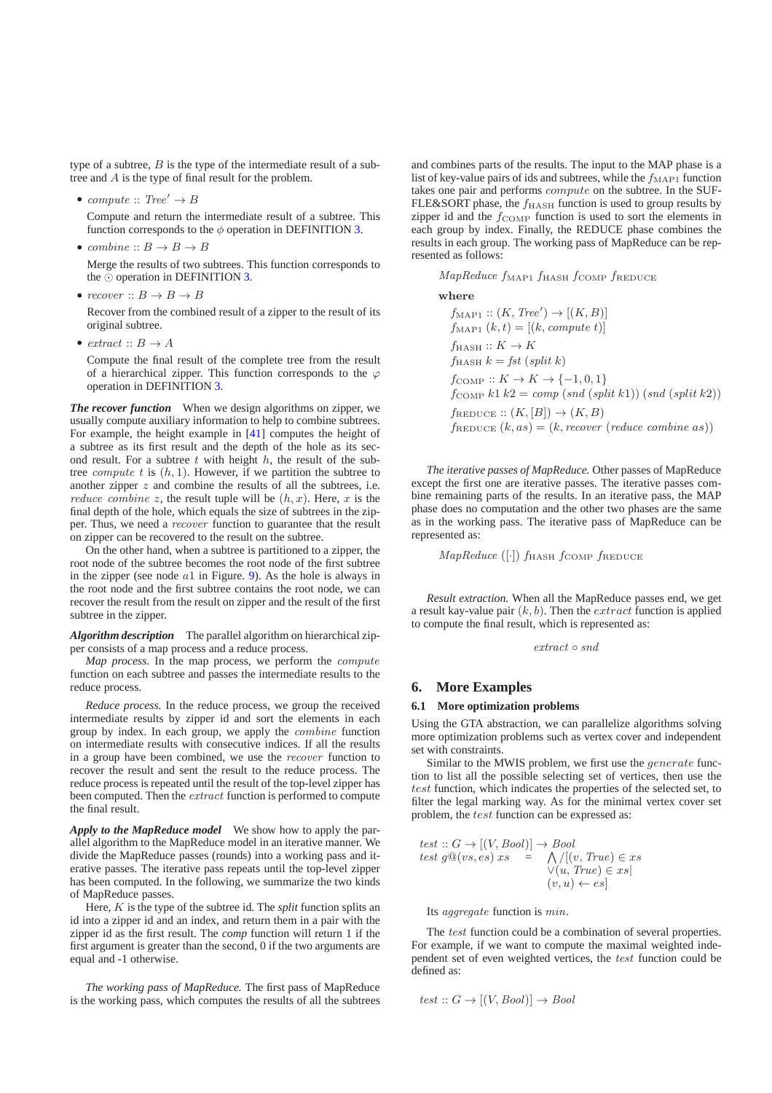type of a subtree,  $B$  is the type of the intermediate result of a subtree and A is the type of final result for the problem.

• compute  $: Tree' \rightarrow B$ 

Compute and return the intermediate result of a subtree. This function corresponds to the  $\phi$  operation in DEFINITION [3.](#page-4-2)

- combine  $B \to B \to B$ Merge the results of two subtrees. This function corresponds to the ⊙ operation in DEFINITION [3.](#page-4-2)
- recover  $B \to B \to B$ Recover from the combined result of a zipper to the result of its original subtree.
- $extract :: B \rightarrow A$

Compute the final result of the complete tree from the result of a hierarchical zipper. This function corresponds to the  $\varphi$ operation in DEFINITION [3.](#page-4-2)

*The recover function* When we design algorithms on zipper, we usually compute auxiliary information to help to combine subtrees. For example, the height example in [\[41](#page-11-6)] computes the height of a subtree as its first result and the depth of the hole as its second result. For a subtree t with height  $h$ , the result of the subtree *compute t* is  $(h, 1)$ . However, if we partition the subtree to another zipper  $z$  and combine the results of all the subtrees, i.e. *reduce combine* z, the result tuple will be  $(h, x)$ . Here, x is the final depth of the hole, which equals the size of subtrees in the zipper. Thus, we need a recover function to guarantee that the result on zipper can be recovered to the result on the subtree.

On the other hand, when a subtree is partitioned to a zipper, the root node of the subtree becomes the root node of the first subtree in the zipper (see node  $a1$  in Figure. [9\)](#page-6-1). As the hole is always in the root node and the first subtree contains the root node, we can recover the result from the result on zipper and the result of the first subtree in the zipper.

*Algorithm description* The parallel algorithm on hierarchical zipper consists of a map process and a reduce process.

*Map process.* In the map process, we perform the compute function on each subtree and passes the intermediate results to the reduce process.

*Reduce process.* In the reduce process, we group the received intermediate results by zipper id and sort the elements in each group by index. In each group, we apply the combine function on intermediate results with consecutive indices. If all the results in a group have been combined, we use the recover function to recover the result and sent the result to the reduce process. The reduce process is repeated until the result of the top-level zipper has been computed. Then the *extract* function is performed to compute the final result.

*Apply to the MapReduce model* We show how to apply the parallel algorithm to the MapReduce model in an iterative manner. We divide the MapReduce passes (rounds) into a working pass and iterative passes. The iterative pass repeats until the top-level zipper has been computed. In the following, we summarize the two kinds of MapReduce passes.

Here, K is the type of the subtree id. The *split* function splits an id into a zipper id and an index, and return them in a pair with the zipper id as the first result. The *comp* function will return 1 if the first argument is greater than the second, 0 if the two arguments are equal and -1 otherwise.

*The working pass of MapReduce.* The first pass of MapReduce is the working pass, which computes the results of all the subtrees and combines parts of the results. The input to the MAP phase is a list of key-value pairs of ids and subtrees, while the  $f_{\text{MAP1}}$  function takes one pair and performs compute on the subtree. In the SUF-FLE&SORT phase, the  $f_{\rm HASH}$  function is used to group results by zipper id and the  $f_{\text{COMP}}$  function is used to sort the elements in each group by index. Finally, the REDUCE phase combines the results in each group. The working pass of MapReduce can be represented as follows:

 $MapReduce f<sub>MAP1</sub> f<sub>HASH</sub> f<sub>COMP</sub> f<sub>REDUCE</sub>$ 

where

 $f_{\text{MAP1}} :: (K, \text{Tree}') \rightarrow [(K, B)]$  $f_{\text{MAP1}}(k, t) = [(k, compute t)]$  $f_{\text{HASH}} :: K \rightarrow K$  $f_{\text{HASH}} k = \text{fst} (\text{split} k)$  $f_{\text{COMP}} :: K \rightarrow K \rightarrow \{-1, 0, 1\}$  $f_{\text{COMP}} k1 k2 = comp (snd (split k1)) (snd (split k2))$  $f_{\text{REDUCE}} :: (K, [B]) \rightarrow (K, B)$  $f_{\text{REDUCE}} (k, as) = (k, recover (reduce combine as))$ 

*The iterative passes of MapReduce.* Other passes of MapReduce except the first one are iterative passes. The iterative passes combine remaining parts of the results. In an iterative pass, the MAP phase does no computation and the other two phases are the same as in the working pass. The iterative pass of MapReduce can be represented as:

```
MapReduce ([·]) f_{HASH} f_{\text{COMP}} f_{\text{REDUCE}}
```
*Result extraction.* When all the MapReduce passes end, we get a result kay-value pair  $(k, b)$ . Then the *extract* function is applied to compute the final result, which is represented as:

$$
extract \circ \mathit{snd}
$$

# <span id="page-7-0"></span>**6. More Examples**

### **6.1 More optimization problems**

Using the GTA abstraction, we can parallelize algorithms solving more optimization problems such as vertex cover and independent set with constraints.

Similar to the MWIS problem, we first use the generate function to list all the possible selecting set of vertices, then use the test function, which indicates the properties of the selected set, to filter the legal marking way. As for the minimal vertex cover set problem, the test function can be expressed as:

test  $: G \rightarrow [(V, Bool)] \rightarrow Bool$ test  $g@(vs, es) xs =$  $\bigwedge / [(v, True) \in xs]$  $\vee (u, True) \in xs$  $(v, u) \leftarrow es$ 

Its aggregate function is min.

The *test* function could be a combination of several properties. For example, if we want to compute the maximal weighted independent set of even weighted vertices, the test function could be defined as:

$$
test :: G \rightarrow [(V,Bool)] \rightarrow Bool
$$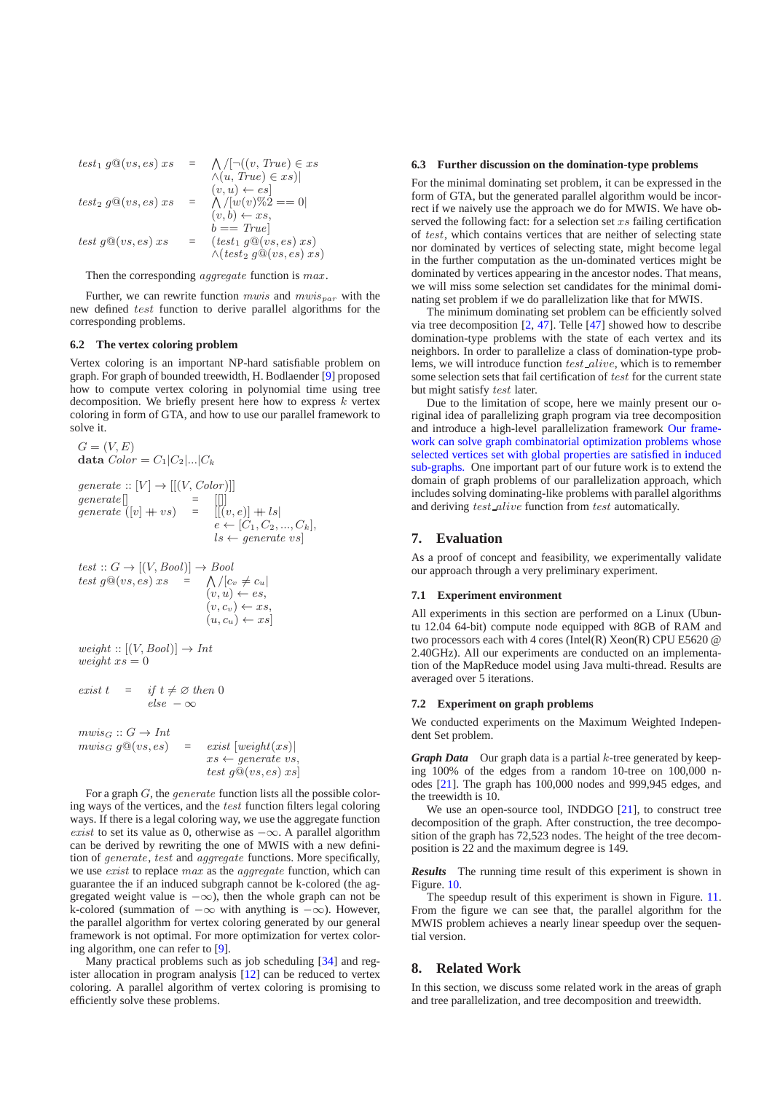$$
\begin{array}{rcl} \mathit{test_1}\; g@(vs, es)\; xs & = & \bigwedge /[\neg((v, \mathit{True}) \in xs) \\ & \wedge (u, \mathit{True}) \in xs)\vert \\ \mathit{test_2}\; g@(vs, es)\; xs & = & \bigwedge /[w(v)\%2 == 0] \\ \mathit{test_2}\; g@(vs, es)\; xs & = & \bigwedge /[w(v)\%2 == 0] \\ & (v, b) \leftarrow xs, \\ \mathit{test_3}\; g@(vs, es)\; xs & = & (\mathit{test_1}\; g@(vs, es)\; xs) \\ & \wedge (\mathit{test_2}\; g@(vs, es)\; xs) \end{array}
$$

Then the corresponding *aggregate* function is  $max$ .

Further, we can rewrite function *mwis* and  $mwis_{nqr}$  with the new defined test function to derive parallel algorithms for the corresponding problems.

### **6.2 The vertex coloring problem**

Vertex coloring is an important NP-hard satisfiable problem on graph. For graph of bounded treewidth, H. Bodlaender [\[9](#page-10-16)] proposed how to compute vertex coloring in polynomial time using tree decomposition. We briefly present here how to express  $k$  vertex coloring in form of GTA, and how to use our parallel framework to solve it.

$$
G = (V, E)
$$
  
\n**data** Color = C<sub>1</sub>|C<sub>2</sub>|...|C<sub>k</sub>  
\ngenerate :: [V]  $\rightarrow$  [[(V, Color)]]  
\ngenerate[] = [[]]  
\ngenerate ([v] + vs) = [[(v, e)] + ls|  
\ne  $\leftarrow$  [C<sub>1</sub>, C<sub>2</sub>, ..., C<sub>k</sub>],  
\nls  $\leftarrow$  generate vs]

test :: 
$$
G \rightarrow [(V, Bool)] \rightarrow Bool
$$
  
test  $g@(vs, es) xs = \bigwedge / [c_v \neq c_u]$   
 $(v, u) \leftarrow es,$   
 $(v, c_v) \leftarrow xs,$   
 $(u, c_u) \leftarrow xs$ 

 $weight:: [(V, Bool)] \rightarrow Int$ weight  $xs = 0$ 

$$
exist t = if t \neq \emptyset then 0
$$
  

$$
else -\infty
$$

 $mwis_G :: G \rightarrow Int$  $mwis_G g@(vs, es) = exist [weight(xs)]$  $xs \leftarrow generate\ vs,$ test  $g@(vs, es) xs]$ 

For a graph  $G$ , the *generate* function lists all the possible coloring ways of the vertices, and the test function filters legal coloring ways. If there is a legal coloring way, we use the aggregate function exist to set its value as 0, otherwise as  $-\infty$ . A parallel algorithm can be derived by rewriting the one of MWIS with a new definition of generate, test and aggregate functions. More specifically, we use *exist* to replace max as the aggregate function, which can guarantee the if an induced subgraph cannot be k-colored (the aggregated weight value is  $-\infty$ ), then the whole graph can not be k-colored (summation of  $-\infty$  with anything is  $-\infty$ ). However, the parallel algorithm for vertex coloring generated by our general framework is not optimal. For more optimization for vertex coloring algorithm, one can refer to [\[9\]](#page-10-16).

Many practical problems such as job scheduling [\[34](#page-11-9)] and register allocation in program analysis [\[12](#page-10-17)] can be reduced to vertex coloring. A parallel algorithm of vertex coloring is promising to efficiently solve these problems.

### <span id="page-8-2"></span>**6.3 Further discussion on the domination-type problems**

For the minimal dominating set problem, it can be expressed in the form of GTA, but the generated parallel algorithm would be incorrect if we naively use the approach we do for MWIS. We have observed the following fact: for a selection set  $xs$  failing certification of test, which contains vertices that are neither of selecting state nor dominated by vertices of selecting state, might become legal in the further computation as the un-dominated vertices might be dominated by vertices appearing in the ancestor nodes. That means, we will miss some selection set candidates for the minimal dominating set problem if we do parallelization like that for MWIS.

The minimum dominating set problem can be efficiently solved via tree decomposition  $[2, 47]$  $[2, 47]$  $[2, 47]$ . Telle  $[47]$  $[47]$  showed how to describe domination-type problems with the state of each vertex and its neighbors. In order to parallelize a class of domination-type problems, we will introduce function test alive, which is to remember some selection sets that fail certification of test for the current state but might satisfy test later.

Due to the limitation of scope, here we mainly present our original idea of parallelizing graph program via tree decomposition and introduce a high-level parallelization framework Our framework can solve graph combinatorial optimization problems whose selected vertices set with global properties are satisfied in induced sub-graphs. One important part of our future work is to extend the domain of graph problems of our parallelization approach, which includes solving dominating-like problems with parallel algorithms and deriving *test\_alive* function from *test* automatically.

# <span id="page-8-0"></span>**7. Evaluation**

As a proof of concept and feasibility, we experimentally validate our approach through a very preliminary experiment.

### **7.1 Experiment environment**

All experiments in this section are performed on a Linux (Ubuntu 12.04 64-bit) compute node equipped with 8GB of RAM and two processors each with 4 cores (Intel(R) Xeon(R) CPU E5620 @ 2.40GHz). All our experiments are conducted on an implementation of the MapReduce model using Java multi-thread. Results are averaged over 5 iterations.

### **7.2 Experiment on graph problems**

We conducted experiments on the Maximum Weighted Independent Set problem.

*Graph Data* Our graph data is a partial k-tree generated by keeping 100% of the edges from a random 10-tree on 100,000 nodes [\[21](#page-10-7)]. The graph has 100,000 nodes and 999,945 edges, and the treewidth is 10.

We use an open-source tool, INDDGO [\[21\]](#page-10-7), to construct tree decomposition of the graph. After construction, the tree decomposition of the graph has 72,523 nodes. The height of the tree decomposition is 22 and the maximum degree is 149.

*Results* The running time result of this experiment is shown in Figure. [10.](#page-9-0)

The speedup result of this experiment is shown in Figure. [11.](#page-9-1) From the figure we can see that, the parallel algorithm for the MWIS problem achieves a nearly linear speedup over the sequential version.

### <span id="page-8-1"></span>**8. Related Work**

In this section, we discuss some related work in the areas of graph and tree parallelization, and tree decomposition and treewidth.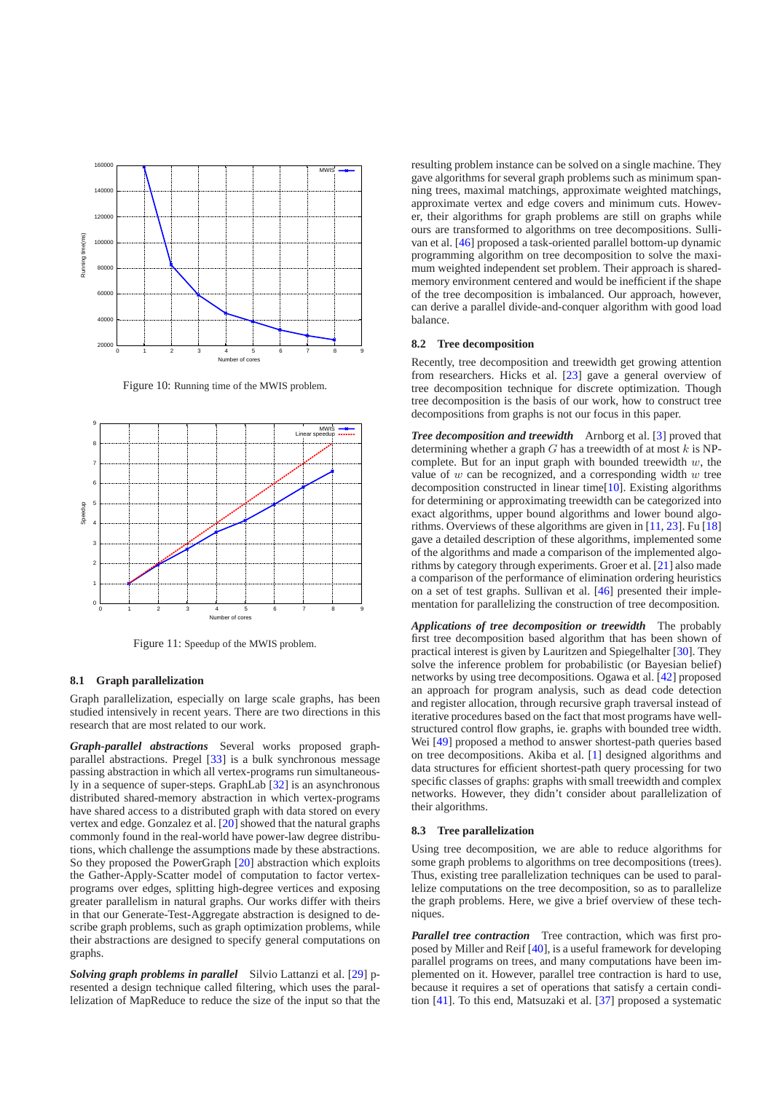

<span id="page-9-0"></span>Figure 10: Running time of the MWIS problem.



<span id="page-9-1"></span>Figure 11: Speedup of the MWIS problem.

# **8.1 Graph parallelization**

Graph parallelization, especially on large scale graphs, has been studied intensively in recent years. There are two directions in this research that are most related to our work.

*Graph-parallel abstractions* Several works proposed graphparallel abstractions. Pregel [\[33](#page-11-0)] is a bulk synchronous message passing abstraction in which all vertex-programs run simultaneously in a sequence of super-steps. GraphLab [\[32](#page-11-2)] is an asynchronous distributed shared-memory abstraction in which vertex-programs have shared access to a distributed graph with data stored on every vertex and edge. Gonzalez et al. [\[20](#page-10-3)] showed that the natural graphs commonly found in the real-world have power-law degree distributions, which challenge the assumptions made by these abstractions. So they proposed the PowerGraph [\[20\]](#page-10-3) abstraction which exploits the Gather-Apply-Scatter model of computation to factor vertexprograms over edges, splitting high-degree vertices and exposing greater parallelism in natural graphs. Our works differ with theirs in that our Generate-Test-Aggregate abstraction is designed to describe graph problems, such as graph optimization problems, while their abstractions are designed to specify general computations on graphs.

*Solving graph problems in parallel* Silvio Lattanzi et al. [\[29](#page-11-11)] presented a design technique called filtering, which uses the parallelization of MapReduce to reduce the size of the input so that the resulting problem instance can be solved on a single machine. They gave algorithms for several graph problems such as minimum spanning trees, maximal matchings, approximate weighted matchings, approximate vertex and edge covers and minimum cuts. However, their algorithms for graph problems are still on graphs while ours are transformed to algorithms on tree decompositions. Sullivan et al. [\[46\]](#page-11-5) proposed a task-oriented parallel bottom-up dynamic programming algorithm on tree decomposition to solve the maximum weighted independent set problem. Their approach is sharedmemory environment centered and would be inefficient if the shape of the tree decomposition is imbalanced. Our approach, however, can derive a parallel divide-and-conquer algorithm with good load balance.

#### **8.2 Tree decomposition**

Recently, tree decomposition and treewidth get growing attention from researchers. Hicks et al. [\[23](#page-11-12)] gave a general overview of tree decomposition technique for discrete optimization. Though tree decomposition is the basis of our work, how to construct tree decompositions from graphs is not our focus in this paper.

*Tree decomposition and treewidth* Arnborg et al. [\[3](#page-10-19)] proved that determining whether a graph  $G$  has a treewidth of at most  $k$  is NPcomplete. But for an input graph with bounded treewidth  $w$ , the value of  $w$  can be recognized, and a corresponding width  $w$  tree decomposition constructed in linear time $[10]$  $[10]$ . Existing algorithms for determining or approximating treewidth can be categorized into exact algorithms, upper bound algorithms and lower bound algorithms. Overviews of these algorithms are given in [\[11,](#page-10-15) [23\]](#page-11-12). Fu [\[18](#page-10-20)] gave a detailed description of these algorithms, implemented some of the algorithms and made a comparison of the implemented algorithms by category through experiments. Groer et al. [\[21\]](#page-10-7) also made a comparison of the performance of elimination ordering heuristics on a set of test graphs. Sullivan et al. [\[46\]](#page-11-5) presented their implementation for parallelizing the construction of tree decomposition.

*Applications of tree decomposition or treewidth* The probably first tree decomposition based algorithm that has been shown of practical interest is given by Lauritzen and Spiegelhalter [\[30\]](#page-11-13). They solve the inference problem for probabilistic (or Bayesian belief) networks by using tree decompositions. Ogawa et al. [\[42](#page-11-14)] proposed an approach for program analysis, such as dead code detection and register allocation, through recursive graph traversal instead of iterative procedures based on the fact that most programs have wellstructured control flow graphs, ie. graphs with bounded tree width. Wei [\[49](#page-11-4)] proposed a method to answer shortest-path queries based on tree decompositions. Akiba et al. [\[1\]](#page-10-5) designed algorithms and data structures for efficient shortest-path query processing for two specific classes of graphs: graphs with small treewidth and complex networks. However, they didn't consider about parallelization of their algorithms.

# **8.3 Tree parallelization**

Using tree decomposition, we are able to reduce algorithms for some graph problems to algorithms on tree decompositions (trees). Thus, existing tree parallelization techniques can be used to parallelize computations on the tree decomposition, so as to parallelize the graph problems. Here, we give a brief overview of these techniques.

*Parallel tree contraction* Tree contraction, which was first proposed by Miller and Reif [\[40\]](#page-11-15), is a useful framework for developing parallel programs on trees, and many computations have been implemented on it. However, parallel tree contraction is hard to use, because it requires a set of operations that satisfy a certain condition [\[41](#page-11-6)]. To this end, Matsuzaki et al. [\[37\]](#page-11-16) proposed a systematic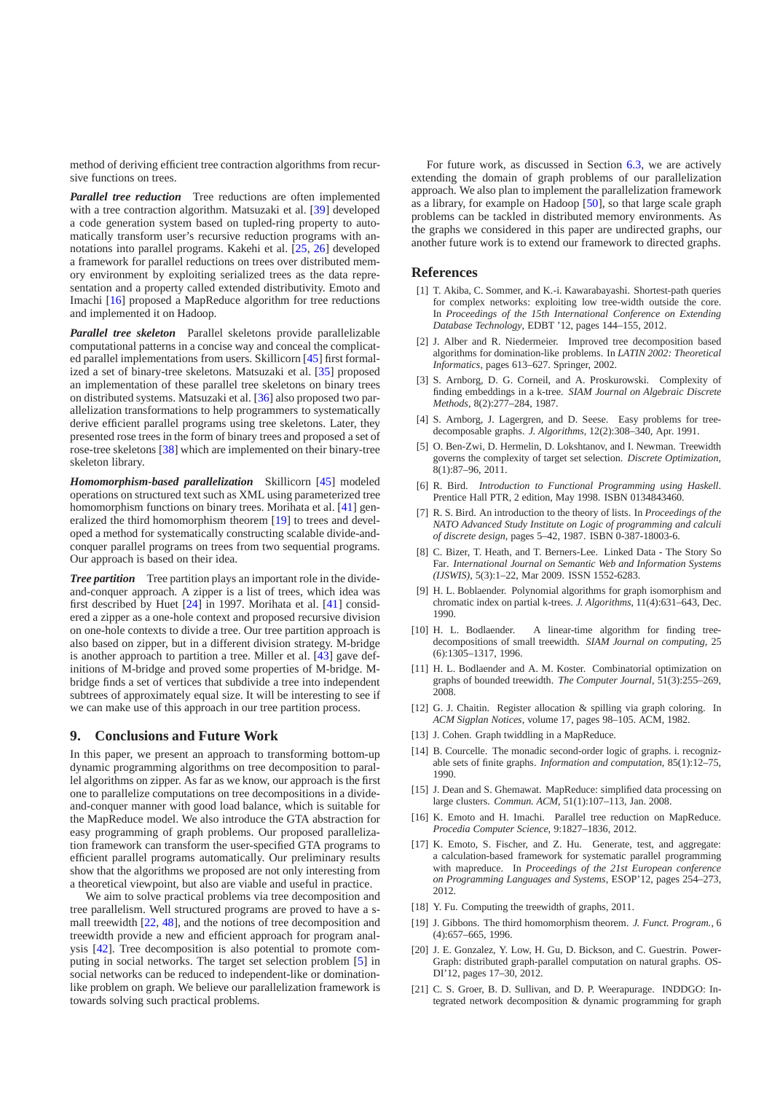method of deriving efficient tree contraction algorithms from recursive functions on trees.

*Parallel tree reduction* Tree reductions are often implemented with a tree contraction algorithm. Matsuzaki et al. [\[39\]](#page-11-17) developed a code generation system based on tupled-ring property to automatically transform user's recursive reduction programs with annotations into parallel programs. Kakehi et al. [\[25,](#page-11-18) [26\]](#page-11-19) developed a framework for parallel reductions on trees over distributed memory environment by exploiting serialized trees as the data representation and a property called extended distributivity. Emoto and Imachi [\[16\]](#page-10-21) proposed a MapReduce algorithm for tree reductions and implemented it on Hadoop.

*Parallel tree skeleton* Parallel skeletons provide parallelizable computational patterns in a concise way and conceal the complicated parallel implementations from users. Skillicorn [\[45\]](#page-11-20) first formalized a set of binary-tree skeletons. Matsuzaki et al. [\[35](#page-11-21)] proposed an implementation of these parallel tree skeletons on binary trees on distributed systems. Matsuzaki et al. [\[36\]](#page-11-22) also proposed two parallelization transformations to help programmers to systematically derive efficient parallel programs using tree skeletons. Later, they presented rose trees in the form of binary trees and proposed a set of rose-tree skeletons [\[38](#page-11-23)] which are implemented on their binary-tree skeleton library.

*Homomorphism-based parallelization* Skillicorn [\[45](#page-11-20)] modeled operations on structured text such as XML using parameterized tree homomorphism functions on binary trees. Morihata et al. [\[41](#page-11-6)] generalized the third homomorphism theorem [\[19](#page-10-11)] to trees and developed a method for systematically constructing scalable divide-andconquer parallel programs on trees from two sequential programs. Our approach is based on their idea.

*Tree partition* Tree partition plays an important role in the divideand-conquer approach. A zipper is a list of trees, which idea was first described by Huet [\[24\]](#page-11-24) in 1997. Morihata et al. [\[41\]](#page-11-6) considered a zipper as a one-hole context and proposed recursive division on one-hole contexts to divide a tree. Our tree partition approach is also based on zipper, but in a different division strategy. M-bridge is another approach to partition a tree. Miller et al. [\[43\]](#page-11-25) gave definitions of M-bridge and proved some properties of M-bridge. Mbridge finds a set of vertices that subdivide a tree into independent subtrees of approximately equal size. It will be interesting to see if we can make use of this approach in our tree partition process.

# <span id="page-10-8"></span>**9. Conclusions and Future Work**

In this paper, we present an approach to transforming bottom-up dynamic programming algorithms on tree decomposition to parallel algorithms on zipper. As far as we know, our approach is the first one to parallelize computations on tree decompositions in a divideand-conquer manner with good load balance, which is suitable for the MapReduce model. We also introduce the GTA abstraction for easy programming of graph problems. Our proposed parallelization framework can transform the user-specified GTA programs to efficient parallel programs automatically. Our preliminary results show that the algorithms we proposed are not only interesting from a theoretical viewpoint, but also are viable and useful in practice.

We aim to solve practical problems via tree decomposition and tree parallelism. Well structured programs are proved to have a small treewidth [\[22](#page-11-26), [48](#page-11-27)], and the notions of tree decomposition and treewidth provide a new and efficient approach for program analysis [\[42](#page-11-14)]. Tree decomposition is also potential to promote computing in social networks. The target set selection problem [\[5](#page-10-6)] in social networks can be reduced to independent-like or dominationlike problem on graph. We believe our parallelization framework is towards solving such practical problems.

For future work, as discussed in Section [6.3,](#page-8-2) we are actively extending the domain of graph problems of our parallelization approach. We also plan to implement the parallelization framework as a library, for example on Hadoop [\[50](#page-11-28)], so that large scale graph problems can be tackled in distributed memory environments. As the graphs we considered in this paper are undirected graphs, our another future work is to extend our framework to directed graphs.

# **References**

- <span id="page-10-5"></span>[1] T. Akiba, C. Sommer, and K.-i. Kawarabayashi. Shortest-path queries for complex networks: exploiting low tree-width outside the core. In *Proceedings of the 15th International Conference on Extending Database Technology*, EDBT '12, pages 144–155, 2012.
- <span id="page-10-18"></span>[2] J. Alber and R. Niedermeier. Improved tree decomposition based algorithms for domination-like problems. In *LATIN 2002: Theoretical Informatics*, pages 613–627. Springer, 2002.
- <span id="page-10-19"></span>[3] S. Arnborg, D. G. Corneil, and A. Proskurowski. Complexity of finding embeddings in a k-tree. *SIAM Journal on Algebraic Discrete Methods*, 8(2):277–284, 1987.
- <span id="page-10-4"></span>[4] S. Arnborg, J. Lagergren, and D. Seese. Easy problems for treedecomposable graphs. *J. Algorithms*, 12(2):308–340, Apr. 1991.
- <span id="page-10-6"></span>[5] O. Ben-Zwi, D. Hermelin, D. Lokshtanov, and I. Newman. Treewidth governs the complexity of target set selection. *Discrete Optimization*,  $8(1):87-96,2011.$
- <span id="page-10-9"></span>[6] R. Bird. *Introduction to Functional Programming using Haskell*. Prentice Hall PTR, 2 edition, May 1998. ISBN 0134843460.
- <span id="page-10-10"></span>[7] R. S. Bird. An introduction to the theory of lists. In *Proceedings of the NATO Advanced Study Institute on Logic of programming and calculi of discrete design*, pages 5–42, 1987. ISBN 0-387-18003-6.
- <span id="page-10-0"></span>[8] C. Bizer, T. Heath, and T. Berners-Lee. Linked Data - The Story So Far. *International Journal on Semantic Web and Information Systems (IJSWIS)*, 5(3):1–22, Mar 2009. ISSN 1552-6283.
- <span id="page-10-16"></span>[9] H. L. Boblaender. Polynomial algorithms for graph isomorphism and chromatic index on partial k-trees. *J. Algorithms*, 11(4):631–643, Dec. 1990.
- <span id="page-10-13"></span>[10] H. L. Bodlaender. A linear-time algorithm for finding treedecompositions of small treewidth. *SIAM Journal on computing*, 25 (6):1305–1317, 1996.
- <span id="page-10-15"></span>[11] H. L. Bodlaender and A. M. Koster. Combinatorial optimization on graphs of bounded treewidth. *The Computer Journal*, 51(3):255–269, 2008.
- <span id="page-10-17"></span>[12] G. J. Chaitin. Register allocation & spilling via graph coloring. In *ACM Sigplan Notices*, volume 17, pages 98–105. ACM, 1982.
- <span id="page-10-1"></span>[13] J. Cohen. Graph twiddling in a MapReduce.
- <span id="page-10-14"></span>[14] B. Courcelle. The monadic second-order logic of graphs. i. recognizable sets of finite graphs. *Information and computation*, 85(1):12–75, 1990.
- <span id="page-10-2"></span>[15] J. Dean and S. Ghemawat. MapReduce: simplified data processing on large clusters. *Commun. ACM*, 51(1):107–113, Jan. 2008.
- <span id="page-10-21"></span>[16] K. Emoto and H. Imachi. Parallel tree reduction on MapReduce. *Procedia Computer Science*, 9:1827–1836, 2012.
- <span id="page-10-12"></span>[17] K. Emoto, S. Fischer, and Z. Hu. Generate, test, and aggregate: a calculation-based framework for systematic parallel programming with mapreduce. In *Proceedings of the 21st European conference on Programming Languages and Systems*, ESOP'12, pages 254–273, 2012.
- <span id="page-10-20"></span>[18] Y. Fu. Computing the treewidth of graphs, 2011.
- <span id="page-10-11"></span>[19] J. Gibbons. The third homomorphism theorem. *J. Funct. Program.*, 6 (4):657–665, 1996.
- <span id="page-10-3"></span>[20] J. E. Gonzalez, Y. Low, H. Gu, D. Bickson, and C. Guestrin. Power-Graph: distributed graph-parallel computation on natural graphs. OS-DI'12, pages 17–30, 2012.
- <span id="page-10-7"></span>[21] C. S. Groer, B. D. Sullivan, and D. P. Weerapurage. INDDGO: Integrated network decomposition & dynamic programming for graph